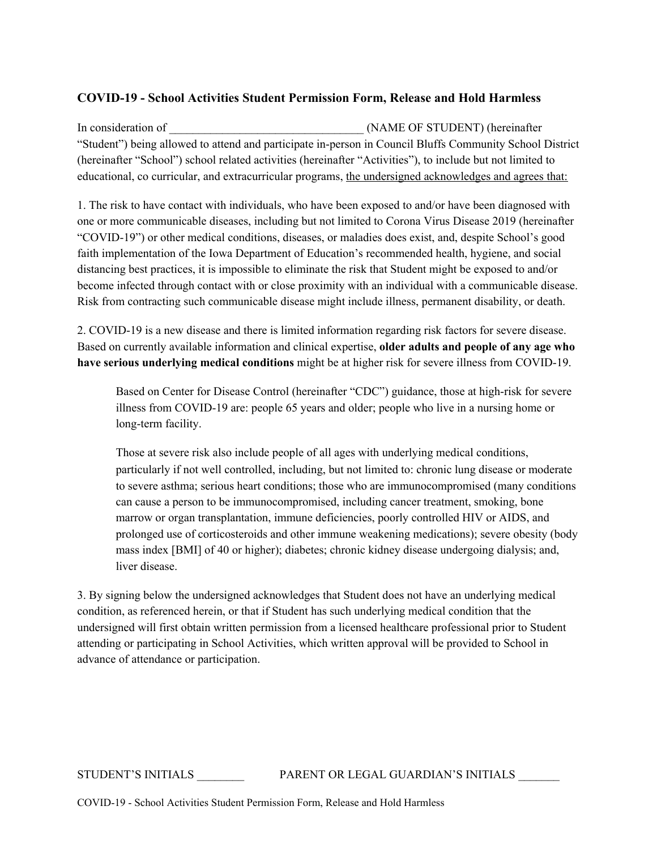## **COVID-19 - School Activities Student Permission Form, Release and Hold Harmless**

In consideration of  $(NAME OF STUDENT)$  (hereinafter "Student") being allowed to attend and participate in-person in Council Bluffs Community School District (hereinafter "School") school related activities (hereinafter "Activities"), to include but not limited to educational, co curricular, and extracurricular programs, the undersigned acknowledges and agrees that:

1. The risk to have contact with individuals, who have been exposed to and/or have been diagnosed with one or more communicable diseases, including but not limited to Corona Virus Disease 2019 (hereinafter "COVID-19") or other medical conditions, diseases, or maladies does exist, and, despite School's good faith implementation of the Iowa Department of Education's recommended health, hygiene, and social distancing best practices, it is impossible to eliminate the risk that Student might be exposed to and/or become infected through contact with or close proximity with an individual with a communicable disease. Risk from contracting such communicable disease might include illness, permanent disability, or death.

2. COVID-19 is a new disease and there is limited information regarding risk factors for severe disease. Based on currently available information and clinical expertise, **older adults and people of any age who have serious underlying medical conditions** might be at higher risk for severe illness from COVID-19.

Based on Center for Disease Control (hereinafter "CDC") guidance, those at high-risk for severe illness from COVID-19 are: people 65 years and older; people who live in a nursing home or long-term facility.

Those at severe risk also include people of all ages with underlying medical conditions, particularly if not well controlled, including, but not limited to: chronic lung disease or moderate to severe asthma; serious heart conditions; those who are immunocompromised (many conditions can cause a person to be immunocompromised, including cancer treatment, smoking, bone marrow or organ transplantation, immune deficiencies, poorly controlled HIV or AIDS, and prolonged use of corticosteroids and other immune weakening medications); severe obesity (body mass index [BMI] of 40 or higher); diabetes; chronic kidney disease undergoing dialysis; and, liver disease.

3. By signing below the undersigned acknowledges that Student does not have an underlying medical condition, as referenced herein, or that if Student has such underlying medical condition that the undersigned will first obtain written permission from a licensed healthcare professional prior to Student attending or participating in School Activities, which written approval will be provided to School in advance of attendance or participation.

## STUDENT'S INITIALS \_\_\_\_\_\_\_\_ PARENT OR LEGAL GUARDIAN'S INITIALS \_\_\_\_\_\_\_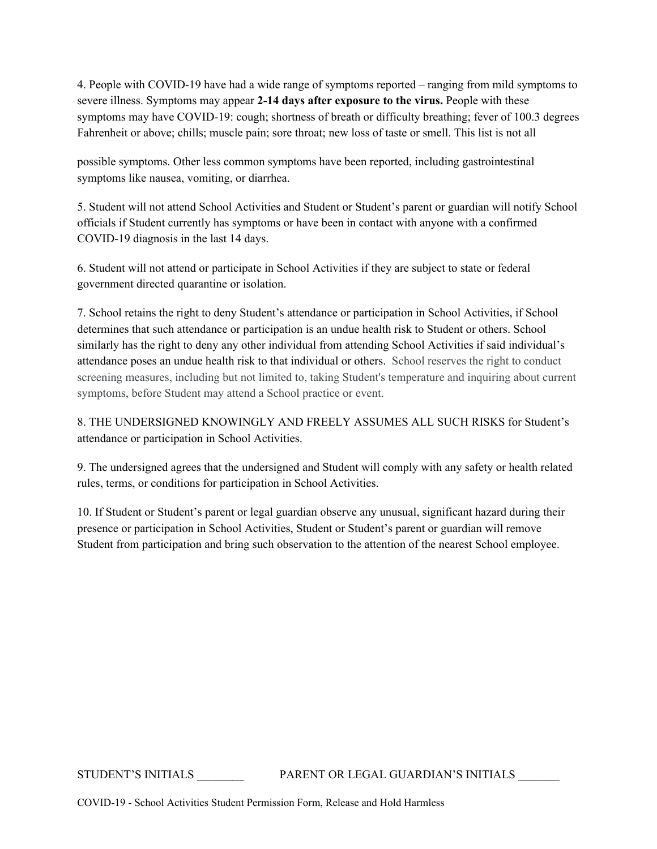4. People with COVID-19 have had a wide range of symptoms reported – ranging from mild symptoms to severe illness. Symptoms may appear **2-14 days after exposure to the virus.** People with these symptoms may have COVID-19: cough; shortness of breath or difficulty breathing; fever of 100.3 degrees Fahrenheit or above; chills; muscle pain; sore throat; new loss of taste or smell. This list is not all

possible symptoms. Other less common symptoms have been reported, including gastrointestinal symptoms like nausea, vomiting, or diarrhea.

5. Student will not attend School Activities and Student or Student's parent or guardian will notify School officials if Student currently has symptoms or have been in contact with anyone with a confirmed COVID-19 diagnosis in the last 14 days.

6. Student will not attend or participate in School Activities if they are subject to state or federal government directed quarantine or isolation.

7. School retains the right to deny Student's attendance or participation in School Activities, if School determines that such attendance or participation is an undue health risk to Student or others. School similarly has the right to deny any other individual from attending School Activities if said individual's attendance poses an undue health risk to that individual or others. School reserves the right to conduct screening measures, including but not limited to, taking Student's temperature and inquiring about current symptoms, before Student may attend a School practice or event.

8. THE UNDERSIGNED KNOWINGLY AND FREELY ASSUMES ALL SUCH RISKS for Student's attendance or participation in School Activities.

9. The undersigned agrees that the undersigned and Student will comply with any safety or health related rules, terms, or conditions for participation in School Activities.

10. If Student or Student's parent or legal guardian observe any unusual, significant hazard during their presence or participation in School Activities, Student or Student's parent or guardian will remove Student from participation and bring such observation to the attention of the nearest School employee.